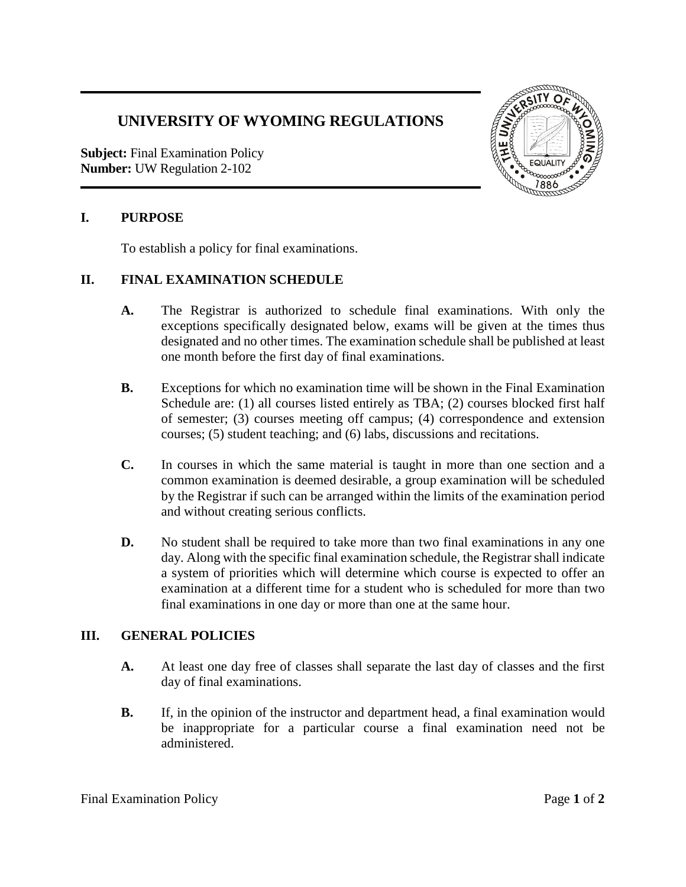# **UNIVERSITY OF WYOMING REGULATIONS**

**Subject:** Final Examination Policy **Number:** UW Regulation 2-102



### **I. PURPOSE**

To establish a policy for final examinations.

#### **II. FINAL EXAMINATION SCHEDULE**

- **A.** The Registrar is authorized to schedule final examinations. With only the exceptions specifically designated below, exams will be given at the times thus designated and no other times. The examination schedule shall be published at least one month before the first day of final examinations.
- **B.** Exceptions for which no examination time will be shown in the Final Examination Schedule are: (1) all courses listed entirely as TBA; (2) courses blocked first half of semester; (3) courses meeting off campus; (4) correspondence and extension courses; (5) student teaching; and (6) labs, discussions and recitations.
- **C.** In courses in which the same material is taught in more than one section and a common examination is deemed desirable, a group examination will be scheduled by the Registrar if such can be arranged within the limits of the examination period and without creating serious conflicts.
- **D.** No student shall be required to take more than two final examinations in any one day. Along with the specific final examination schedule, the Registrar shall indicate a system of priorities which will determine which course is expected to offer an examination at a different time for a student who is scheduled for more than two final examinations in one day or more than one at the same hour.

## **III. GENERAL POLICIES**

- **A.** At least one day free of classes shall separate the last day of classes and the first day of final examinations.
- **B.** If, in the opinion of the instructor and department head, a final examination would be inappropriate for a particular course a final examination need not be administered.